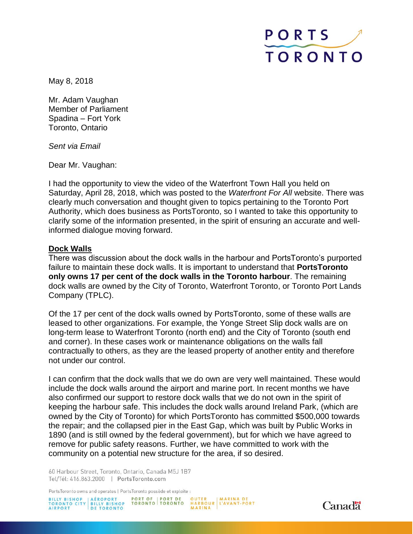

May 8, 2018

Mr. Adam Vaughan Member of Parliament Spadina – Fort York Toronto, Ontario

*Sent via Email*

Dear Mr. Vaughan:

I had the opportunity to view the video of the Waterfront Town Hall you held on Saturday, April 28, 2018, which was posted to the *Waterfront For All* website. There was clearly much conversation and thought given to topics pertaining to the Toronto Port Authority, which does business as PortsToronto, so I wanted to take this opportunity to clarify some of the information presented, in the spirit of ensuring an accurate and wellinformed dialogue moving forward.

#### **Dock Walls**

There was discussion about the dock walls in the harbour and PortsToronto's purported failure to maintain these dock walls. It is important to understand that **PortsToronto only owns 17 per cent of the dock walls in the Toronto harbour**. The remaining dock walls are owned by the City of Toronto, Waterfront Toronto, or Toronto Port Lands Company (TPLC).

Of the 17 per cent of the dock walls owned by PortsToronto, some of these walls are leased to other organizations. For example, the Yonge Street Slip dock walls are on long-term lease to Waterfront Toronto (north end) and the City of Toronto (south end and corner). In these cases work or maintenance obligations on the walls fall contractually to others, as they are the leased property of another entity and therefore not under our control.

I can confirm that the dock walls that we do own are very well maintained. These would include the dock walls around the airport and marine port. In recent months we have also confirmed our support to restore dock walls that we do not own in the spirit of keeping the harbour safe. This includes the dock walls around Ireland Park, (which are owned by the City of Toronto) for which PortsToronto has committed \$500,000 towards the repair; and the collapsed pier in the East Gap, which was built by Public Works in 1890 (and is still owned by the federal government), but for which we have agreed to remove for public safety reasons. Further, we have committed to work with the community on a potential new structure for the area, if so desired.

60 Harbour Street, Toronto, Ontario, Canada M5J 1B7 Tel/Tél: 416.863.2000 | PortsToronto.com

PortsToronto owns and operates | PortsToronto possède et exploite :



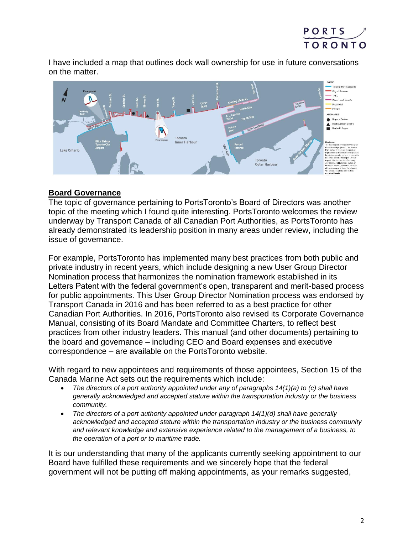

I have included a map that outlines dock wall ownership for use in future conversations on the matter.



# **Board Governance**

The topic of governance pertaining to PortsToronto's Board of Directors was another topic of the meeting which I found quite interesting. PortsToronto welcomes the review underway by Transport Canada of all Canadian Port Authorities, as PortsToronto has already demonstrated its leadership position in many areas under review, including the issue of governance.

For example, PortsToronto has implemented many best practices from both public and private industry in recent years, which include designing a new User Group Director Nomination process that harmonizes the nomination framework established in its Letters Patent with the federal government's open, transparent and merit-based process for public appointments. This User Group Director Nomination process was endorsed by Transport Canada in 2016 and has been referred to as a best practice for other Canadian Port Authorities. In 2016, PortsToronto also revised its Corporate Governance Manual, consisting of its Board Mandate and Committee Charters, to reflect best practices from other industry leaders. This manual (and other documents) pertaining to the board and governance – including CEO and Board expenses and executive correspondence – are available on the PortsToronto website.

With regard to new appointees and requirements of those appointees, Section 15 of the Canada Marine Act sets out the requirements which include:

- *The directors of a port authority appointed under any of paragraphs 14(1)(a) to (c) shall have generally acknowledged and accepted stature within the transportation industry or the business community.*
- *The directors of a port authority appointed under paragraph 14(1)(d) shall have generally acknowledged and accepted stature within the transportation industry or the business community and relevant knowledge and extensive experience related to the management of a business, to the operation of a port or to maritime trade.*

It is our understanding that many of the applicants currently seeking appointment to our Board have fulfilled these requirements and we sincerely hope that the federal government will not be putting off making appointments, as your remarks suggested,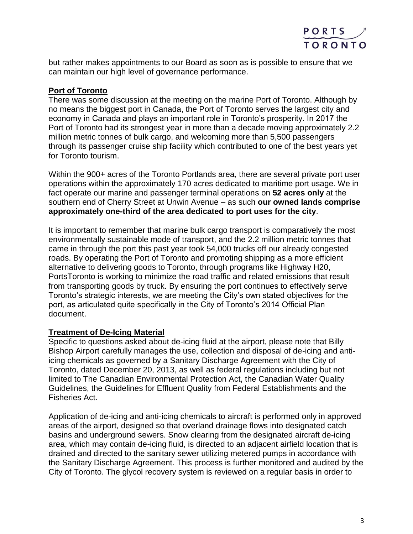

but rather makes appointments to our Board as soon as is possible to ensure that we can maintain our high level of governance performance.

## **Port of Toronto**

There was some discussion at the meeting on the marine Port of Toronto. Although by no means the biggest port in Canada, the Port of Toronto serves the largest city and economy in Canada and plays an important role in Toronto's prosperity. In 2017 the Port of Toronto had its strongest year in more than a decade moving approximately 2.2 million metric tonnes of bulk cargo, and welcoming more than 5,500 passengers through its passenger cruise ship facility which contributed to one of the best years yet for Toronto tourism.

Within the 900+ acres of the Toronto Portlands area, there are several private port user operations within the approximately 170 acres dedicated to maritime port usage. We in fact operate our marine and passenger terminal operations on **52 acres only** at the southern end of Cherry Street at Unwin Avenue – as such **our owned lands comprise approximately one-third of the area dedicated to port uses for the city**.

It is important to remember that marine bulk cargo transport is comparatively the most environmentally sustainable mode of transport, and the 2.2 million metric tonnes that came in through the port this past year took 54,000 trucks off our already congested roads. By operating the Port of Toronto and promoting shipping as a more efficient alternative to delivering goods to Toronto, through programs like Highway H20, PortsToronto is working to minimize the road traffic and related emissions that result from transporting goods by truck. By ensuring the port continues to effectively serve Toronto's strategic interests, we are meeting the City's own stated objectives for the port, as articulated quite specifically in the City of Toronto's 2014 Official Plan document.

### **Treatment of De-Icing Material**

Specific to questions asked about de-icing fluid at the airport, please note that Billy Bishop Airport carefully manages the use, collection and disposal of de-icing and antiicing chemicals as governed by a Sanitary Discharge Agreement with the City of Toronto, dated December 20, 2013, as well as federal regulations including but not limited to The Canadian Environmental Protection Act, the Canadian Water Quality Guidelines, the Guidelines for Effluent Quality from Federal Establishments and the Fisheries Act.

Application of de-icing and anti-icing chemicals to aircraft is performed only in approved areas of the airport, designed so that overland drainage flows into designated catch basins and underground sewers. Snow clearing from the designated aircraft de-icing area, which may contain de-icing fluid, is directed to an adjacent airfield location that is drained and directed to the sanitary sewer utilizing metered pumps in accordance with the Sanitary Discharge Agreement. This process is further monitored and audited by the City of Toronto. The glycol recovery system is reviewed on a regular basis in order to